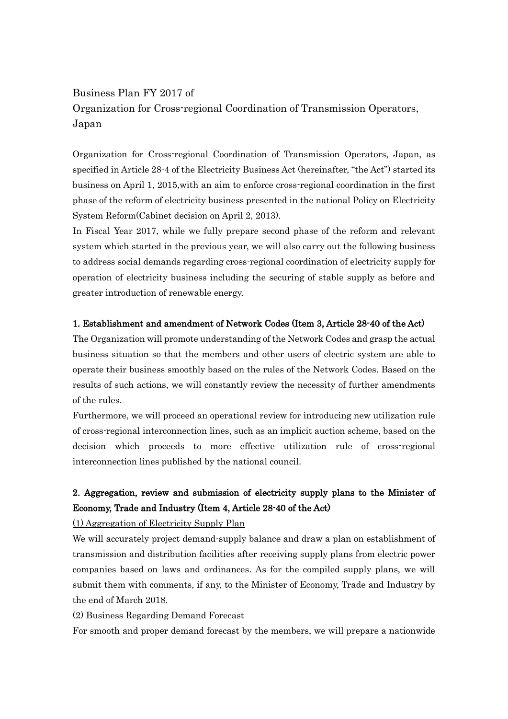# Business Plan FY 2017 of Organization for Cross-regional Coordination of Transmission Operators, Japan

Organization for Cross-regional Coordination of Transmission Operators, Japan, as specified in Article 28-4 of the Electricity Business Act (hereinafter, "the Act") started its business on April 1, 2015,with an aim to enforce cross-regional coordination in the first phase of the reform of electricity business presented in the national Policy on Electricity System Reform(Cabinet decision on April 2, 2013).

In Fiscal Year 2017, while we fully prepare second phase of the reform and relevant system which started in the previous year, we will also carry out the following business to address social demands regarding cross-regional coordination of electricity supply for operation of electricity business including the securing of stable supply as before and greater introduction of renewable energy.

### 1. Establishment and amendment of Network Codes (Item 3, Article 28-40 of the Act)

The Organization will promote understanding of the Network Codes and grasp the actual business situation so that the members and other users of electric system are able to operate their business smoothly based on the rules of the Network Codes. Based on the results of such actions, we will constantly review the necessity of further amendments of the rules.

Furthermore, we will proceed an operational review for introducing new utilization rule of cross-regional interconnection lines, such as an implicit auction scheme, based on the decision which proceeds to more effective utilization rule of cross-regional interconnection lines published by the national council.

## 2. Aggregation, review and submission of electricity supply plans to the Minister of Economy, Trade and Industry (Item 4, Article 28-40 of the Act)

#### (1) Aggregation of Electricity Supply Plan

We will accurately project demand-supply balance and draw a plan on establishment of transmission and distribution facilities after receiving supply plans from electric power companies based on laws and ordinances. As for the compiled supply plans, we will submit them with comments, if any, to the Minister of Economy, Trade and Industry by the end of March 2018.

### (2) Business Regarding Demand Forecast

For smooth and proper demand forecast by the members, we will prepare a nationwide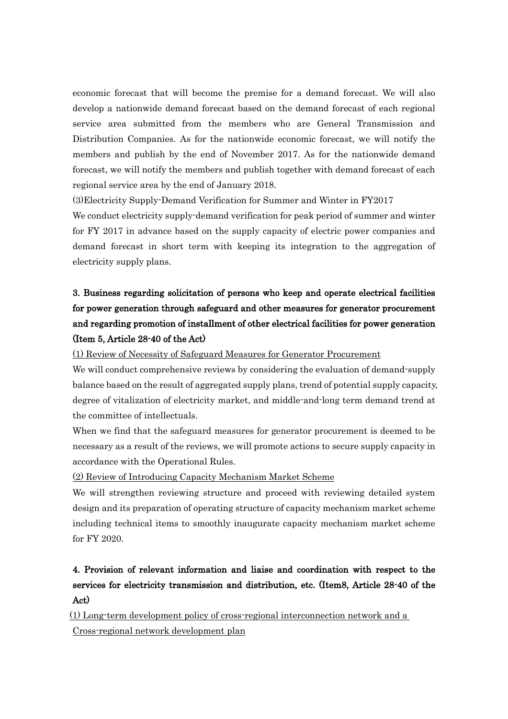economic forecast that will become the premise for a demand forecast. We will also develop a nationwide demand forecast based on the demand forecast of each regional service area submitted from the members who are General Transmission and Distribution Companies. As for the nationwide economic forecast, we will notify the members and publish by the end of November 2017. As for the nationwide demand forecast, we will notify the members and publish together with demand forecast of each regional service area by the end of January 2018.

(3)Electricity Supply-Demand Verification for Summer and Winter in FY2017

We conduct electricity supply-demand verification for peak period of summer and winter for FY 2017 in advance based on the supply capacity of electric power companies and demand forecast in short term with keeping its integration to the aggregation of electricity supply plans.

# 3. Business regarding solicitation of persons who keep and operate electrical facilities for power generation through safeguard and other measures for generator procurement and regarding promotion of installment of other electrical facilities for power generation (Item 5, Article 28-40 of the Act)

(1) Review of Necessity of Safeguard Measures for Generator Procurement

We will conduct comprehensive reviews by considering the evaluation of demand-supply balance based on the result of aggregated supply plans, trend of potential supply capacity, degree of vitalization of electricity market, and middle-and-long term demand trend at the committee of intellectuals.

When we find that the safeguard measures for generator procurement is deemed to be necessary as a result of the reviews, we will promote actions to secure supply capacity in accordance with the Operational Rules.

(2) Review of Introducing Capacity Mechanism Market Scheme

We will strengthen reviewing structure and proceed with reviewing detailed system design and its preparation of operating structure of capacity mechanism market scheme including technical items to smoothly inaugurate capacity mechanism market scheme for FY 2020.

# 4. Provision of relevant information and liaise and coordination with respect to the services for electricity transmission and distribution, etc. (Item8, Article 28-40 of the Act)

[(1) Long-term development policy of cross-regional interconnection network and a Cross-regional network development plan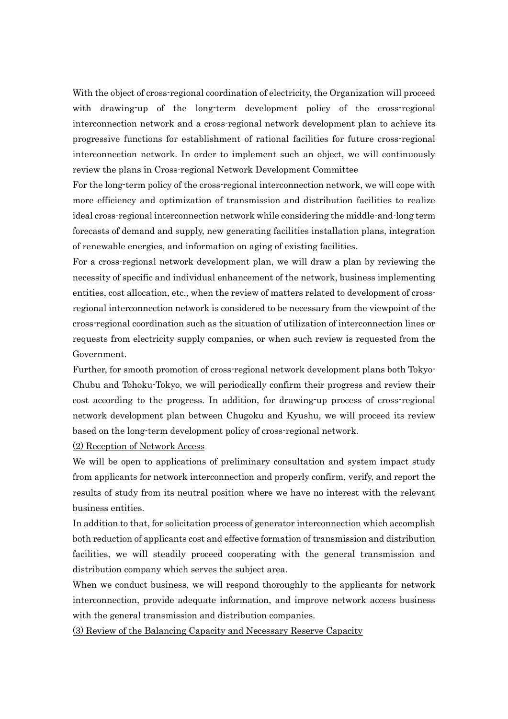With the object of cross-regional coordination of electricity, the Organization will proceed with drawing-up of the long-term development policy of the cross-regional interconnection network and a cross-regional network development plan to achieve its progressive functions for establishment of rational facilities for future cross-regional interconnection network. In order to implement such an object, we will continuously review the plans in Cross-regional Network Development Committee

For the long-term policy of the cross-regional interconnection network, we will cope with more efficiency and optimization of transmission and distribution facilities to realize ideal cross-regional interconnection network while considering the middle-and-long term forecasts of demand and supply, new generating facilities installation plans, integration of renewable energies, and information on aging of existing facilities.

For a cross-regional network development plan, we will draw a plan by reviewing the necessity of specific and individual enhancement of the network, business implementing entities, cost allocation, etc., when the review of matters related to development of crossregional interconnection network is considered to be necessary from the viewpoint of the cross-regional coordination such as the situation of utilization of interconnection lines or requests from electricity supply companies, or when such review is requested from the Government.

Further, for smooth promotion of cross-regional network development plans both Tokyo-Chubu and Tohoku-Tokyo, we will periodically confirm their progress and review their cost according to the progress. In addition, for drawing-up process of cross-regional network development plan between Chugoku and Kyushu, we will proceed its review based on the long-term development policy of cross-regional network.

(2) Reception of Network Access

We will be open to applications of preliminary consultation and system impact study from applicants for network interconnection and properly confirm, verify, and report the results of study from its neutral position where we have no interest with the relevant business entities.

In addition to that, for solicitation process of generator interconnection which accomplish both reduction of applicants cost and effective formation of transmission and distribution facilities, we will steadily proceed cooperating with the general transmission and distribution company which serves the subject area.

When we conduct business, we will respond thoroughly to the applicants for network interconnection, provide adequate information, and improve network access business with the general transmission and distribution companies.

(3) Review of the Balancing Capacity and Necessary Reserve Capacity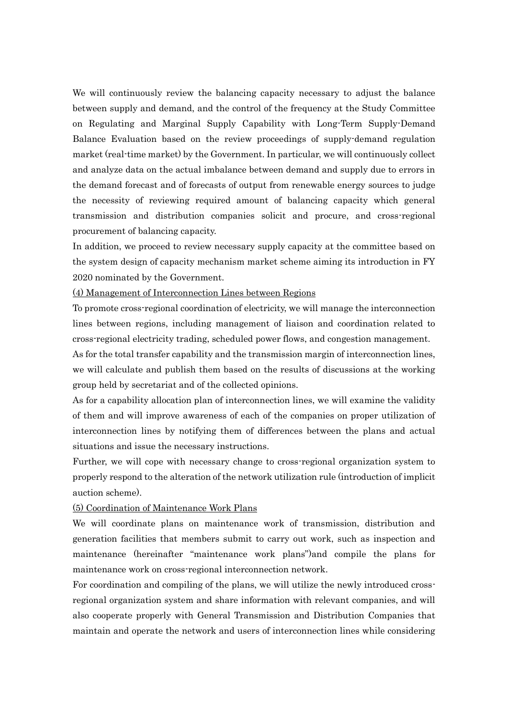We will continuously review the balancing capacity necessary to adjust the balance between supply and demand, and the control of the frequency at the Study Committee on Regulating and Marginal Supply Capability with Long-Term Supply-Demand Balance Evaluation based on the review proceedings of supply-demand regulation market (real-time market) by the Government. In particular, we will continuously collect and analyze data on the actual imbalance between demand and supply due to errors in the demand forecast and of forecasts of output from renewable energy sources to judge the necessity of reviewing required amount of balancing capacity which general transmission and distribution companies solicit and procure, and cross-regional procurement of balancing capacity.

In addition, we proceed to review necessary supply capacity at the committee based on the system design of capacity mechanism market scheme aiming its introduction in FY 2020 nominated by the Government.

#### (4) Management of Interconnection Lines between Regions

To promote cross-regional coordination of electricity, we will manage the interconnection lines between regions, including management of liaison and coordination related to cross-regional electricity trading, scheduled power flows, and congestion management.

As for the total transfer capability and the transmission margin of interconnection lines, we will calculate and publish them based on the results of discussions at the working group held by secretariat and of the collected opinions.

As for a capability allocation plan of interconnection lines, we will examine the validity of them and will improve awareness of each of the companies on proper utilization of interconnection lines by notifying them of differences between the plans and actual situations and issue the necessary instructions.

Further, we will cope with necessary change to cross-regional organization system to properly respond to the alteration of the network utilization rule (introduction of implicit auction scheme).

#### (5) Coordination of Maintenance Work Plans

We will coordinate plans on maintenance work of transmission, distribution and generation facilities that members submit to carry out work, such as inspection and maintenance (hereinafter "maintenance work plans")and compile the plans for maintenance work on cross-regional interconnection network.

For coordination and compiling of the plans, we will utilize the newly introduced crossregional organization system and share information with relevant companies, and will also cooperate properly with General Transmission and Distribution Companies that maintain and operate the network and users of interconnection lines while considering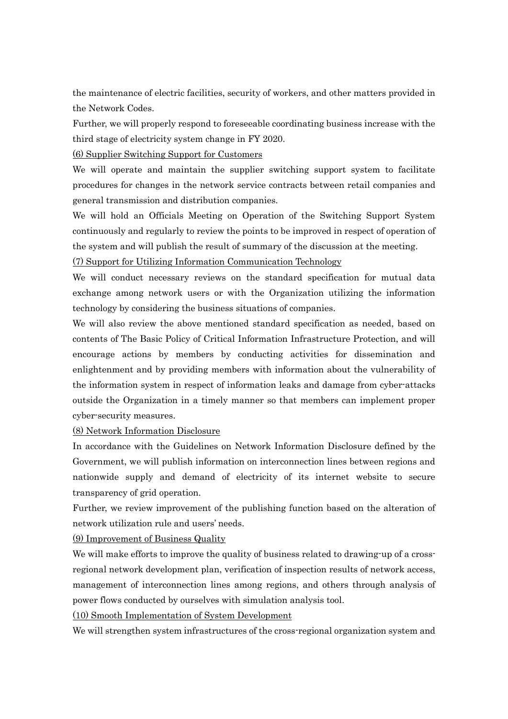the maintenance of electric facilities, security of workers, and other matters provided in the Network Codes.

Further, we will properly respond to foreseeable coordinating business increase with the third stage of electricity system change in FY 2020.

(6) Supplier Switching Support for Customers

We will operate and maintain the supplier switching support system to facilitate procedures for changes in the network service contracts between retail companies and general transmission and distribution companies.

We will hold an Officials Meeting on Operation of the Switching Support System continuously and regularly to review the points to be improved in respect of operation of the system and will publish the result of summary of the discussion at the meeting.

(7) Support for Utilizing Information Communication Technology

We will conduct necessary reviews on the standard specification for mutual data exchange among network users or with the Organization utilizing the information technology by considering the business situations of companies.

We will also review the above mentioned standard specification as needed, based on contents of The Basic Policy of Critical Information Infrastructure Protection, and will encourage actions by members by conducting activities for dissemination and enlightenment and by providing members with information about the vulnerability of the information system in respect of information leaks and damage from cyber-attacks outside the Organization in a timely manner so that members can implement proper cyber-security measures.

(8) Network Information Disclosure

In accordance with the Guidelines on Network Information Disclosure defined by the Government, we will publish information on interconnection lines between regions and nationwide supply and demand of electricity of its internet website to secure transparency of grid operation.

Further, we review improvement of the publishing function based on the alteration of network utilization rule and users' needs.

(9) Improvement of Business Quality

We will make efforts to improve the quality of business related to drawing-up of a crossregional network development plan, verification of inspection results of network access, management of interconnection lines among regions, and others through analysis of power flows conducted by ourselves with simulation analysis tool.

(10) Smooth Implementation of System Development

We will strengthen system infrastructures of the cross-regional organization system and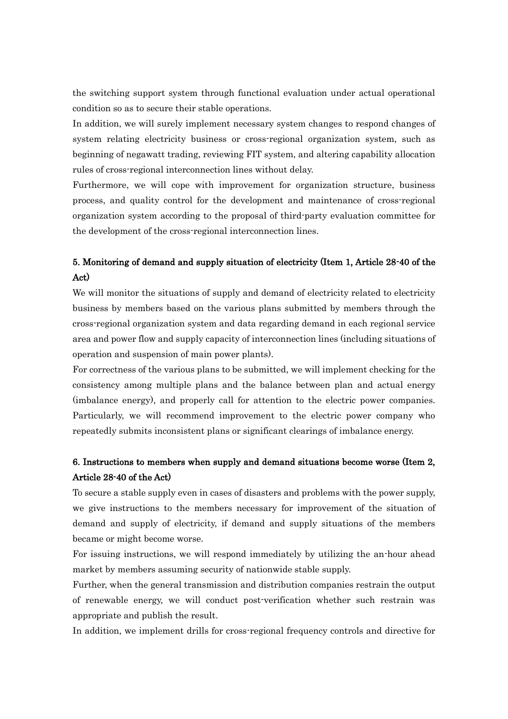the switching support system through functional evaluation under actual operational condition so as to secure their stable operations.

In addition, we will surely implement necessary system changes to respond changes of system relating electricity business or cross-regional organization system, such as beginning of negawatt trading, reviewing FIT system, and altering capability allocation rules of cross-regional interconnection lines without delay.

Furthermore, we will cope with improvement for organization structure, business process, and quality control for the development and maintenance of cross-regional organization system according to the proposal of third-party evaluation committee for the development of the cross-regional interconnection lines.

### 5. Monitoring of demand and supply situation of electricity (Item 1, Article 28-40 of the Act)

We will monitor the situations of supply and demand of electricity related to electricity business by members based on the various plans submitted by members through the cross-regional organization system and data regarding demand in each regional service area and power flow and supply capacity of interconnection lines (including situations of operation and suspension of main power plants).

For correctness of the various plans to be submitted, we will implement checking for the consistency among multiple plans and the balance between plan and actual energy (imbalance energy), and properly call for attention to the electric power companies. Particularly, we will recommend improvement to the electric power company who repeatedly submits inconsistent plans or significant clearings of imbalance energy.

### 6. Instructions to members when supply and demand situations become worse (Item 2, Article 28-40 of the Act)

To secure a stable supply even in cases of disasters and problems with the power supply, we give instructions to the members necessary for improvement of the situation of demand and supply of electricity, if demand and supply situations of the members became or might become worse.

For issuing instructions, we will respond immediately by utilizing the an-hour ahead market by members assuming security of nationwide stable supply.

Further, when the general transmission and distribution companies restrain the output of renewable energy, we will conduct post-verification whether such restrain was appropriate and publish the result.

In addition, we implement drills for cross-regional frequency controls and directive for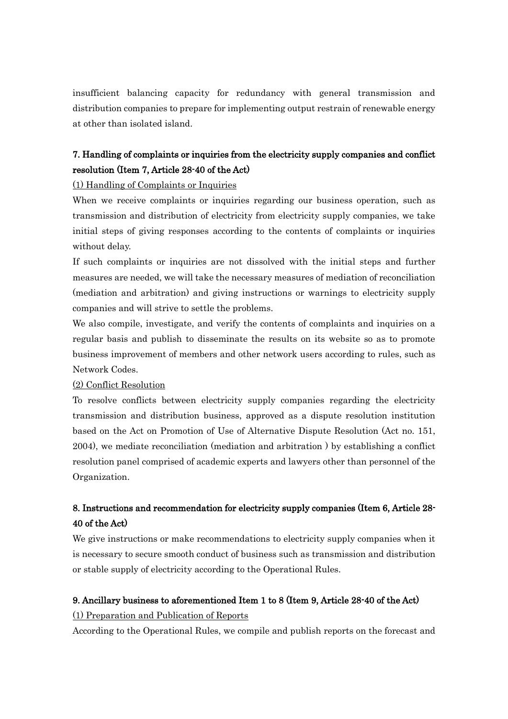insufficient balancing capacity for redundancy with general transmission and distribution companies to prepare for implementing output restrain of renewable energy at other than isolated island.

## 7. Handling of complaints or inquiries from the electricity supply companies and conflict resolution (Item 7, Article 28-40 of the Act)

(1) Handling of Complaints or Inquiries

When we receive complaints or inquiries regarding our business operation, such as transmission and distribution of electricity from electricity supply companies, we take initial steps of giving responses according to the contents of complaints or inquiries without delay.

If such complaints or inquiries are not dissolved with the initial steps and further measures are needed, we will take the necessary measures of mediation of reconciliation (mediation and arbitration) and giving instructions or warnings to electricity supply companies and will strive to settle the problems.

We also compile, investigate, and verify the contents of complaints and inquiries on a regular basis and publish to disseminate the results on its website so as to promote business improvement of members and other network users according to rules, such as Network Codes.

#### (2) Conflict Resolution

To resolve conflicts between electricity supply companies regarding the electricity transmission and distribution business, approved as a dispute resolution institution based on the Act on Promotion of Use of Alternative Dispute Resolution (Act no. 151, 2004), we mediate reconciliation (mediation and arbitration ) by establishing a conflict resolution panel comprised of academic experts and lawyers other than personnel of the Organization.

## 8. Instructions and recommendation for electricity supply companies (Item 6, Article 28- 40 of the Act)

We give instructions or make recommendations to electricity supply companies when it is necessary to secure smooth conduct of business such as transmission and distribution or stable supply of electricity according to the Operational Rules.

### 9. Ancillary business to aforementioned Item 1 to 8 (Item 9, Article 28-40 of the Act)

#### (1) Preparation and Publication of Reports

According to the Operational Rules, we compile and publish reports on the forecast and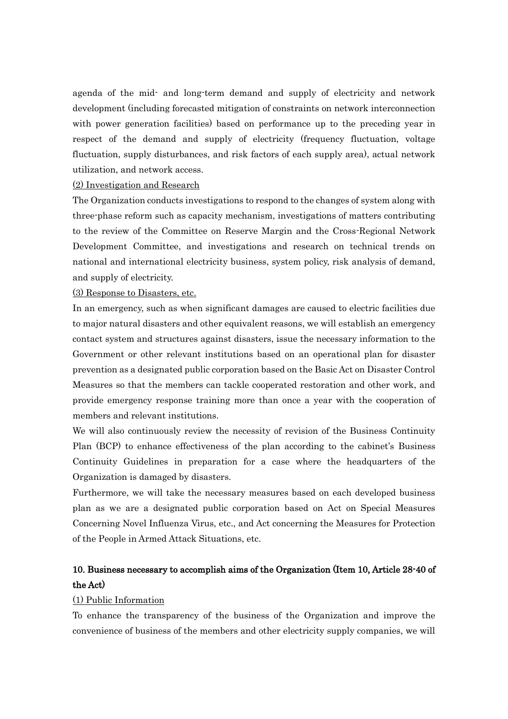agenda of the mid- and long-term demand and supply of electricity and network development (including forecasted mitigation of constraints on network interconnection with power generation facilities) based on performance up to the preceding year in respect of the demand and supply of electricity (frequency fluctuation, voltage fluctuation, supply disturbances, and risk factors of each supply area), actual network utilization, and network access.

#### (2) Investigation and Research

The Organization conducts investigations to respond to the changes of system along with three-phase reform such as capacity mechanism, investigations of matters contributing to the review of the Committee on Reserve Margin and the Cross-Regional Network Development Committee, and investigations and research on technical trends on national and international electricity business, system policy, risk analysis of demand, and supply of electricity.

### (3) Response to Disasters, etc.

In an emergency, such as when significant damages are caused to electric facilities due to major natural disasters and other equivalent reasons, we will establish an emergency contact system and structures against disasters, issue the necessary information to the Government or other relevant institutions based on an operational plan for disaster prevention as a designated public corporation based on the Basic Act on Disaster Control Measures so that the members can tackle cooperated restoration and other work, and provide emergency response training more than once a year with the cooperation of members and relevant institutions.

We will also continuously review the necessity of revision of the Business Continuity Plan (BCP) to enhance effectiveness of the plan according to the cabinet's Business Continuity Guidelines in preparation for a case where the headquarters of the Organization is damaged by disasters.

Furthermore, we will take the necessary measures based on each developed business plan as we are a designated public corporation based on Act on Special Measures Concerning Novel Influenza Virus, etc., and Act concerning the Measures for Protection of the People in Armed Attack Situations, etc.

### 10. Business necessary to accomplish aims of the Organization (Item 10, Article 28-40 of the Act)

#### (1) Public Information

To enhance the transparency of the business of the Organization and improve the convenience of business of the members and other electricity supply companies, we will